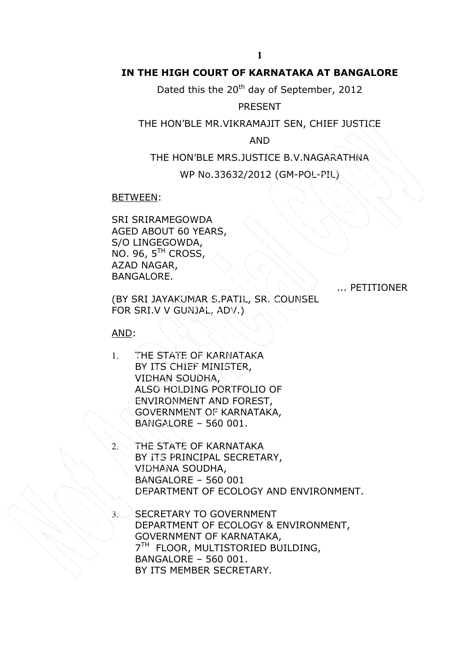# IN THE HIGH COURT OF KARNATAKA AT BANGALORE

Dated this the 20<sup>th</sup> day of September, 2012

## PRESENT

## THE HON'BLE MR.VIKRAMAJIT SEN, CHIEF JUSTICE

AND

THE HON'BLE MRS.JUSTICE B.V.NAGARATHNA

WP No.33632/2012 (GM-POL-PIL)

BETWEEN:

SRI SRIRAMEGOWDA AGED ABOUT 60 YEARS, S/O LINGEGOWDA, NO. 96, 5TH CROSS, AZAD NAGAR, BANGALORE.

... PETITIONER

(BY SRI JAYAKUMAR S.PATIL, SR. COUNSEL FOR SRI.V V GUNJAL, ADV.)

AND:

- 1. THE STATE OF KARNATAKA BY ITS CHIEF MINISTER, VIDHAN SOUDHA, ALSO HOLDING PORTFOLIO OF ENVIRONMENT AND FOREST, GOVERNMENT OF KARNATAKA, BANGALORE – 560 001.
	- THE STATE OF KARNATAKA BY ITS PRINCIPAL SECRETARY, VIDHANA SOUDHA, BANGALORE – 560 001 DEPARTMENT OF ECOLOGY AND ENVIRONMENT.
	- SECRETARY TO GOVERNMENT DEPARTMENT OF ECOLOGY & ENVIRONMENT, GOVERNMENT OF KARNATAKA, 7<sup>TH</sup> FLOOR, MULTISTORIED BUILDING, BANGALORE – 560 001. BY ITS MEMBER SECRETARY.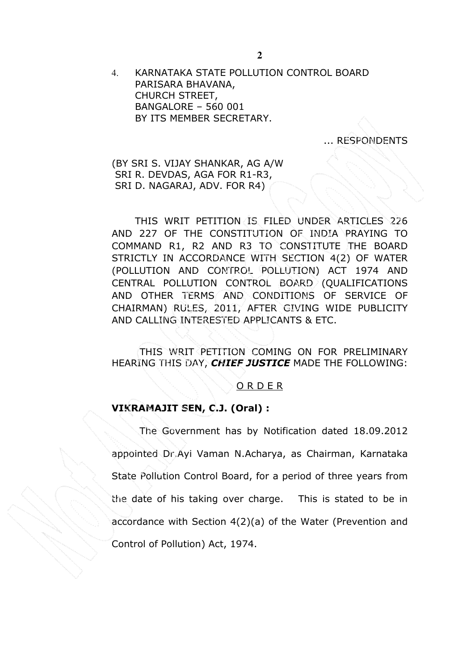4. KARNATAKA STATE POLLUTION CONTROL BOARD PARISARA BHAVANA, CHURCH STREET, BANGALORE – 560 001 BY ITS MEMBER SECRETARY.

... RESPONDENTS

(BY SRI S. VIJAY SHANKAR, AG A/W SRI R. DEVDAS, AGA FOR R1-R3, SRI D. NAGARAJ, ADV. FOR R4)

THIS WRIT PETITION IS FILED UNDER ARTICLES 226 AND 227 OF THE CONSTITUTION OF INDIA PRAYING TO COMMAND R1, R2 AND R3 TO CONSTITUTE THE BOARD STRICTLY IN ACCORDANCE WITH SECTION 4(2) OF WATER (POLLUTION AND CONTROL POLLUTION) ACT 1974 AND CENTRAL POLLUTION CONTROL BOARD (QUALIFICATIONS AND OTHER TERMS AND CONDITIONS OF SERVICE OF CHAIRMAN) RULES, 2011, AFTER GIVING WIDE PUBLICITY AND CALLING INTERESTED APPLICANTS & ETC.

THIS WRIT PETITION COMING ON FOR PRELIMINARY HEARING THIS DAY, CHIEF JUSTICE MADE THE FOLLOWING:

#### O R D E R

#### VIKRAMAJIT SEN, C.J. (Oral) :

The Government has by Notification dated 18.09.2012 appointed Dr.Ayi Vaman N.Acharya, as Chairman, Karnataka State Pollution Control Board, for a period of three years from the date of his taking over charge. This is stated to be in accordance with Section 4(2)(a) of the Water (Prevention and Control of Pollution) Act, 1974.